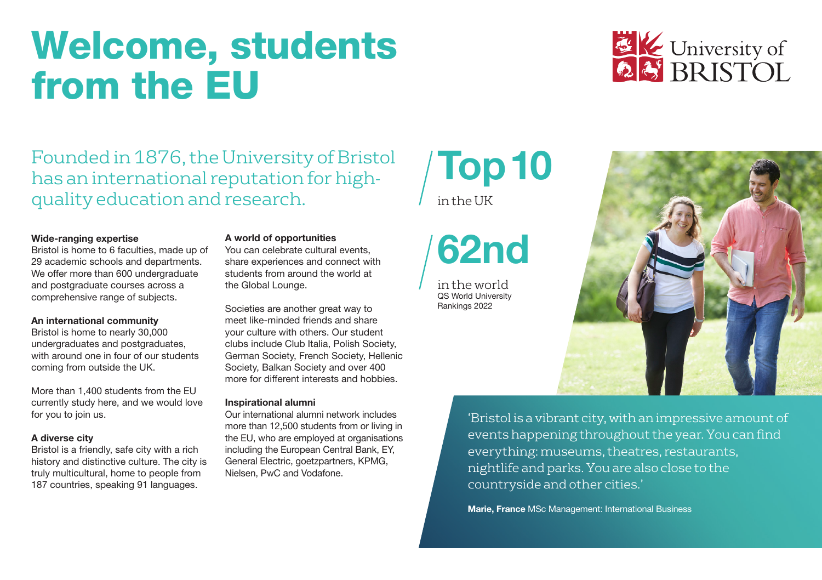### Welcome, students from the EU



Founded in 1876, the University of Bristol has an international reputation for highquality education and research.

### Wide-ranging expertise

Bristol is home to 6 faculties, made up of 29 academic schools and departments. We offer more than 600 undergraduate and postgraduate courses across a comprehensive range of subjects.

### An international community

Bristol is home to nearly 30,000 undergraduates and postgraduates. with around one in four of our students coming from outside the UK.

More than 1,400 students from the EU currently study here, and we would love for you to join us.

### A diverse city

Bristol is a friendly, safe city with a rich history and distinctive culture. The city is truly multicultural, home to people from 187 countries, speaking 91 languages.

### A world of opportunities

You can celebrate cultural events, share experiences and connect with students from around the world at the Global Lounge.

Societies are another great way to meet like-minded friends and share your culture with others. Our student clubs include Club Italia, Polish Society, German Society, French Society, Hellenic Society, Balkan Society and over 400 more for different interests and hobbies.

### Inspirational alumni

Our international alumni network includes more than 12,500 students from or living in the EU, who are employed at organisations including the European Central Bank, EY, General Electric, goetzpartners, KPMG, Nielsen, PwC and Vodafone.

# Top10

 $in$  the  $I$  IK



in the world QS World University Rankings 2022



'Bristol is a vibrant city, with an impressive amount of events happening throughout the year. You can find everything: museums, theatres, restaurants, nightlife and parks. You are also close to the countryside and other cities.'

Marie, France MSc Management: International Business